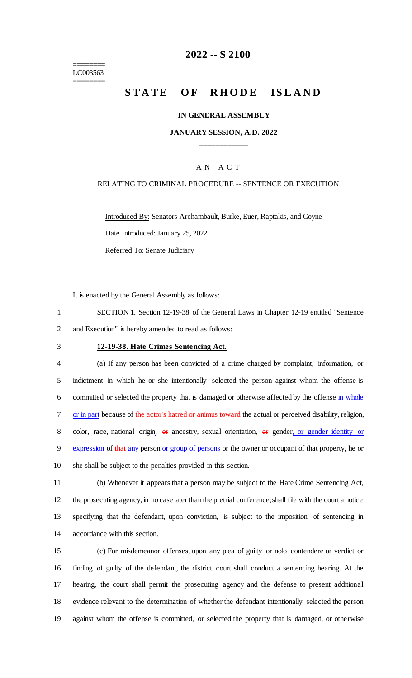======== LC003563 ========

## **2022 -- S 2100**

# **STATE OF RHODE ISLAND**

#### **IN GENERAL ASSEMBLY**

#### **JANUARY SESSION, A.D. 2022 \_\_\_\_\_\_\_\_\_\_\_\_**

### A N A C T

#### RELATING TO CRIMINAL PROCEDURE -- SENTENCE OR EXECUTION

Introduced By: Senators Archambault, Burke, Euer, Raptakis, and Coyne Date Introduced: January 25, 2022 Referred To: Senate Judiciary

It is enacted by the General Assembly as follows:

1 SECTION 1. Section 12-19-38 of the General Laws in Chapter 12-19 entitled "Sentence 2 and Execution" is hereby amended to read as follows:

#### 3 **12-19-38. Hate Crimes Sentencing Act.**

4 (a) If any person has been convicted of a crime charged by complaint, information, or 5 indictment in which he or she intentionally selected the person against whom the offense is 6 committed or selected the property that is damaged or otherwise affected by the offense in whole 7 or in part because of the actor's hatred or animus toward the actual or perceived disability, religion, 8 color, race, national origin, or ancestry, sexual orientation, or gender, or gender identity or 9 expression of that any person or group of persons or the owner or occupant of that property, he or 10 she shall be subject to the penalties provided in this section.

 (b) Whenever it appears that a person may be subject to the Hate Crime Sentencing Act, the prosecuting agency, in no case later than the pretrial conference, shall file with the court a notice specifying that the defendant, upon conviction, is subject to the imposition of sentencing in accordance with this section.

 (c) For misdemeanor offenses, upon any plea of guilty or nolo contendere or verdict or finding of guilty of the defendant, the district court shall conduct a sentencing hearing. At the hearing, the court shall permit the prosecuting agency and the defense to present additional evidence relevant to the determination of whether the defendant intentionally selected the person against whom the offense is committed, or selected the property that is damaged, or otherwise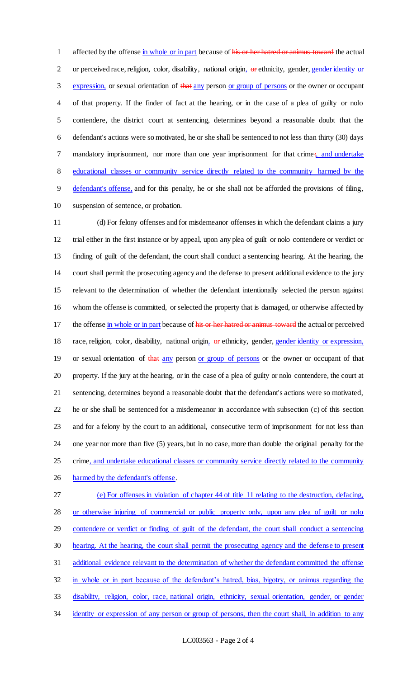1 affected by the offense in whole or in part because of his or her hatred or animus toward the actual 2 or perceived race, religion, color, disability, national origin, or ethnicity, gender, gender identity or 3 expression, or sexual orientation of that any person or group of persons or the owner or occupant of that property. If the finder of fact at the hearing, or in the case of a plea of guilty or nolo contendere, the district court at sentencing, determines beyond a reasonable doubt that the defendant's actions were so motivated, he or she shall be sentenced to not less than thirty (30) days 7 mandatory imprisonment, nor more than one year imprisonment for that crime:, and undertake educational classes or community service directly related to the community harmed by the defendant's offense, and for this penalty, he or she shall not be afforded the provisions of filing, suspension of sentence, or probation.

 (d) For felony offenses and for misdemeanor offenses in which the defendant claims a jury trial either in the first instance or by appeal, upon any plea of guilt or nolo contendere or verdict or finding of guilt of the defendant, the court shall conduct a sentencing hearing. At the hearing, the court shall permit the prosecuting agency and the defense to present additional evidence to the jury relevant to the determination of whether the defendant intentionally selected the person against whom the offense is committed, or selected the property that is damaged, or otherwise affected by 17 the offense in whole or in part because of his or her hatred or animus toward the actual or perceived 18 race, religion, color, disability, national origin, or ethnicity, gender, gender identity or expression, 19 or sexual orientation of that any person or group of persons or the owner or occupant of that property. If the jury at the hearing, or in the case of a plea of guilty or nolo contendere, the court at sentencing, determines beyond a reasonable doubt that the defendant's actions were so motivated, he or she shall be sentenced for a misdemeanor in accordance with subsection (c) of this section and for a felony by the court to an additional, consecutive term of imprisonment for not less than one year nor more than five (5) years, but in no case, more than double the original penalty for the 25 crime, and undertake educational classes or community service directly related to the community 26 harmed by the defendant's offense.

 (e) For offenses in violation of chapter 44 of title 11 relating to the destruction, defacing, 28 or otherwise injuring of commercial or public property only, upon any plea of guilt or nolo contendere or verdict or finding of guilt of the defendant, the court shall conduct a sentencing hearing. At the hearing, the court shall permit the prosecuting agency and the defense to present additional evidence relevant to the determination of whether the defendant committed the offense in whole or in part because of the defendant's hatred, bias, bigotry, or animus regarding the disability, religion, color, race, national origin, ethnicity, sexual orientation, gender, or gender 34 identity or expression of any person or group of persons, then the court shall, in addition to any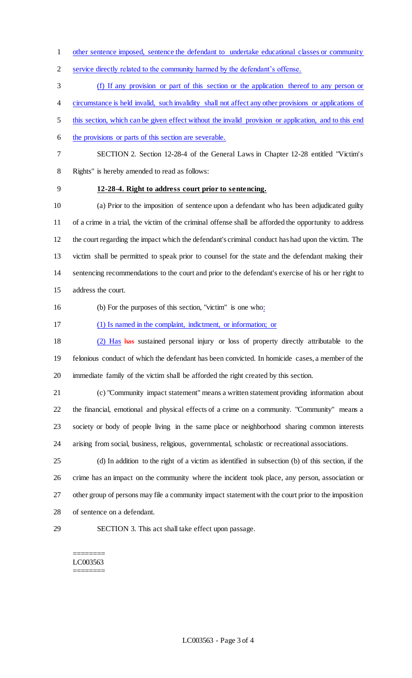other sentence imposed, sentence the defendant to undertake educational classes or community

service directly related to the community harmed by the defendant's offense.

(f) If any provision or part of this section or the application thereof to any person or

circumstance is held invalid, such invalidity shall not affect any other provisions or applications of

this section, which can be given effect without the invalid provision or application, and to this end

- 6 the provisions or parts of this section are severable.
- 

 SECTION 2. Section 12-28-4 of the General Laws in Chapter 12-28 entitled "Victim's Rights" is hereby amended to read as follows:

## **12-28-4. Right to address court prior to sentencing.**

 (a) Prior to the imposition of sentence upon a defendant who has been adjudicated guilty of a crime in a trial, the victim of the criminal offense shall be afforded the opportunity to address the court regarding the impact which the defendant's criminal conduct has had upon the victim. The victim shall be permitted to speak prior to counsel for the state and the defendant making their sentencing recommendations to the court and prior to the defendant's exercise of his or her right to address the court.

(b) For the purposes of this section, "victim" is one who:

(1) Is named in the complaint, indictment, or information; or

 (2) Has has sustained personal injury or loss of property directly attributable to the felonious conduct of which the defendant has been convicted. In homicide cases, a member of the immediate family of the victim shall be afforded the right created by this section.

- (c) "Community impact statement" means a written statement providing information about the financial, emotional and physical effects of a crime on a community. "Community" means a society or body of people living in the same place or neighborhood sharing common interests arising from social, business, religious, governmental, scholastic or recreational associations.
- (d) In addition to the right of a victim as identified in subsection (b) of this section, if the crime has an impact on the community where the incident took place, any person, association or other group of persons may file a community impact statement with the court prior to the imposition of sentence on a defendant.
- 

SECTION 3. This act shall take effect upon passage.

#### ======== LC003563 ========